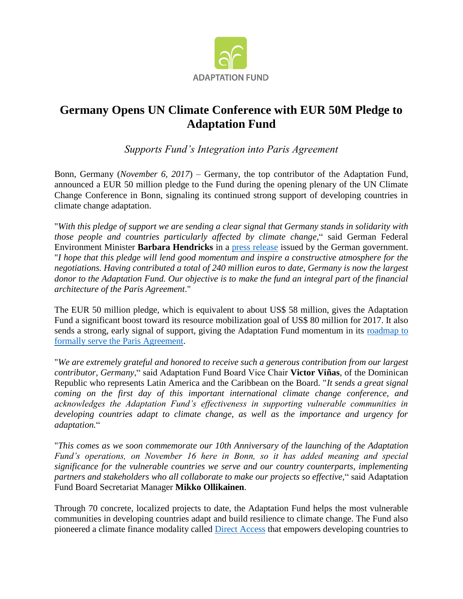

## **Germany Opens UN Climate Conference with EUR 50M Pledge to Adaptation Fund**

*Supports Fund's Integration into Paris Agreement*

Bonn, Germany (*November 6, 2017*) – Germany, the top contributor of the Adaptation Fund, announced a EUR 50 million pledge to the Fund during the opening plenary of the UN Climate Change Conference in Bonn, signaling its continued strong support of developing countries in climate change adaptation.

"*With this pledge of support we are sending a clear signal that Germany stands in solidarity with those people and countries particularly affected by climate change*," said German Federal Environment Minister **Barbara Hendricks** in a [press release](https://www.bmub.bund.de/en/pressrelease/weltklimakonferenz-startet-deutschland-unterstuetzt-entwicklungslaender-bei-klima-anpassung/) issued by the German government. "*I hope that this pledge will lend good momentum and inspire a constructive atmosphere for the negotiations. Having contributed a total of 240 million euros to date, Germany is now the largest donor to the Adaptation Fund. Our objective is to make the fund an integral part of the financial architecture of the Paris Agreement*."

The EUR 50 million pledge, which is equivalent to about US\$ 58 million, gives the Adaptation Fund a significant boost toward its resource mobilization goal of US\$ 80 million for 2017. It also sends a strong, early signal of support, giving the Adaptation Fund momentum in its [roadmap to](https://www.adaptation-fund.org/cop23)  [formally serve the Paris Agreement.](https://www.adaptation-fund.org/cop23)

"*We are extremely grateful and honored to receive such a generous contribution from our largest contributor, Germany*," said Adaptation Fund Board Vice Chair **Victor Viñas**, of the Dominican Republic who represents Latin America and the Caribbean on the Board. "*It sends a great signal coming on the first day of this important international climate change conference, and acknowledges the Adaptation Fund's effectiveness in supporting vulnerable communities in developing countries adapt to climate change, as well as the importance and urgency for adaptation.*"

"*This comes as we soon commemorate our 10th Anniversary of the launching of the Adaptation Fund's operations, on November 16 here in Bonn, so it has added meaning and special significance for the vulnerable countries we serve and our country counterparts, implementing partners and stakeholders who all collaborate to make our projects so effective,*" said Adaptation Fund Board Secretariat Manager **Mikko Ollikainen**.

Through 70 concrete, localized projects to date, the Adaptation Fund helps the most vulnerable communities in developing countries adapt and build resilience to climate change. The Fund also pioneered a climate finance modality called [Direct Access](https://www.adaptation-fund.org/about/direct-access/) that empowers developing countries to